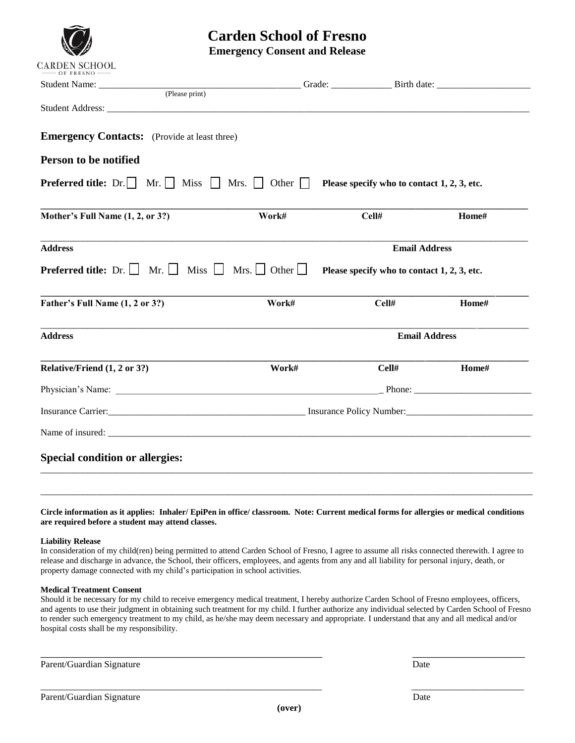

# **Carden School of Fresno**

**Emergency Consent and Release**

|                                                                                                                                                                                                                               |       | Grade: Birth date:                          |                |
|-------------------------------------------------------------------------------------------------------------------------------------------------------------------------------------------------------------------------------|-------|---------------------------------------------|----------------|
| (Please print)                                                                                                                                                                                                                |       |                                             |                |
|                                                                                                                                                                                                                               |       |                                             |                |
| <b>Emergency Contacts:</b> (Provide at least three)                                                                                                                                                                           |       |                                             |                |
| Person to be notified                                                                                                                                                                                                         |       |                                             |                |
| <b>Preferred title:</b> Dr.     Mr.     Miss     Mrs.     Other $\Box$                                                                                                                                                        |       | Please specify who to contact 1, 2, 3, etc. |                |
| Mother's Full Name (1, 2, or 3?)                                                                                                                                                                                              | Work# | Cell#                                       | Home#          |
| <b>Address</b>                                                                                                                                                                                                                |       | <b>Email Address</b>                        |                |
|                                                                                                                                                                                                                               |       |                                             |                |
|                                                                                                                                                                                                                               |       | Please specify who to contact 1, 2, 3, etc. |                |
|                                                                                                                                                                                                                               | Work# | Cell#                                       |                |
| <b>Preferred title:</b> Dr. $\Box$ Mr. $\Box$ Miss $\Box$ Mrs. $\Box$ Other $\Box$<br>Father's Full Name (1, 2 or 3?)<br><b>Address</b>                                                                                       |       | <b>Email Address</b>                        |                |
| Relative/Friend (1, 2 or 3?)                                                                                                                                                                                                  | Work# | Cell#                                       | Home#<br>Home# |
|                                                                                                                                                                                                                               |       |                                             |                |
| Insurance Carrier: Insurance Policy Number: Insurance Policy Number:                                                                                                                                                          |       |                                             |                |
| Name of insured: example, the contract of the contract of the contract of the contract of the contract of the contract of the contract of the contract of the contract of the contract of the contract of the contract of the |       |                                             |                |

**Circle information as it applies: Inhaler/ EpiPen in office/ classroom. Note: Current medical forms for allergies or medical conditions are required before a student may attend classes.**

\_\_\_\_\_\_\_\_\_\_\_\_\_\_\_\_\_\_\_\_\_\_\_\_\_\_\_\_\_\_\_\_\_\_\_\_\_\_\_\_\_\_\_\_\_\_\_\_\_\_\_\_\_\_\_\_\_\_\_\_\_\_\_\_\_\_\_\_\_\_\_\_\_\_\_\_\_\_\_\_\_\_\_\_\_\_\_\_\_\_\_\_\_\_\_\_\_\_\_\_\_\_\_\_\_

### **Liability Release**

In consideration of my child(ren) being permitted to attend Carden School of Fresno, I agree to assume all risks connected therewith. I agree to release and discharge in advance, the School, their officers, employees, and agents from any and all liability for personal injury, death, or property damage connected with my child's participation in school activities.

### **Medical Treatment Consent**

Should it be necessary for my child to receive emergency medical treatment, I hereby authorize Carden School of Fresno employees, officers, and agents to use their judgment in obtaining such treatment for my child. I further authorize any individual selected by Carden School of Fresno to render such emergency treatment to my child, as he/she may deem necessary and appropriate. I understand that any and all medical and/or hospital costs shall be my responsibility.

\_\_\_\_\_\_\_\_\_\_\_\_\_\_\_\_\_\_\_\_\_\_\_\_\_\_\_\_\_\_\_\_\_\_\_\_\_\_\_\_\_\_\_\_\_\_\_\_\_\_ \_\_\_\_\_\_\_\_\_\_\_\_\_\_\_\_\_\_\_\_

\_\_\_\_\_\_\_\_\_\_\_\_\_\_\_\_\_\_\_\_\_\_\_\_\_\_\_\_\_\_\_\_\_\_\_\_\_\_\_\_\_\_\_\_\_\_\_\_\_\_\_\_\_\_\_\_\_\_\_\_ \_\_\_\_\_\_\_\_\_\_\_\_\_\_\_\_\_\_\_\_\_\_\_\_

Parent/Guardian Signature Date Date of the United States of the Date Date Date Date of the United States of the United States of the United States of the United States of the United States of the United States of the Unite